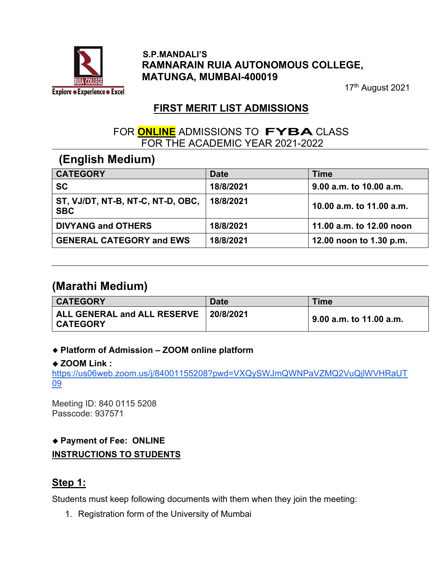

#### S.P.MANDALI'S RAMNARAIN RUIA AUTONOMOUS COLLEGE, MATUNGA, MUMBAI-400019

17<sup>th</sup> August 2021

## FIRST MERIT LIST ADMISSIONS

### FOR **ONLINE** ADMISSIONS TO **FYBA** CLASS FOR THE ACADEMIC YEAR 2021-2022

# (English Medium)

| <b>CATEGORY</b>                                 | <b>Date</b> | <b>Time</b>              |
|-------------------------------------------------|-------------|--------------------------|
| <b>SC</b>                                       | 18/8/2021   | 9.00 a.m. to 10.00 a.m.  |
| ST, VJ/DT, NT-B, NT-C, NT-D, OBC,<br><b>SBC</b> | 18/8/2021   | 10.00 a.m. to 11.00 a.m. |
| <b>DIVYANG and OTHERS</b>                       | 18/8/2021   | 11.00 a.m. to 12.00 noon |
| <b>GENERAL CATEGORY and EWS</b>                 | 18/8/2021   | 12.00 noon to 1.30 p.m.  |

# (Marathi Medium)

| <b>CATEGORY</b>                                            | <b>Date</b> | <b>Time</b>                  |
|------------------------------------------------------------|-------------|------------------------------|
| ALL GENERAL and ALL RESERVE   20/8/2021<br><b>CATEGORY</b> |             | $\,$ 9.00 a.m. to 11.00 a.m. |

#### Platform of Admission – ZOOM online platform

#### ◆ ZOOM Link :

https://us06web.zoom.us/j/84001155208?pwd=VXQySWJmQWNPaVZMQ2VuQjlWVHRaUT 09

Meeting ID: 840 0115 5208 Passcode: 937571

## ◆ Payment of Fee: ONLINE INSTRUCTIONS TO STUDENTS

## Step 1:

Students must keep following documents with them when they join the meeting:

1. Registration form of the University of Mumbai